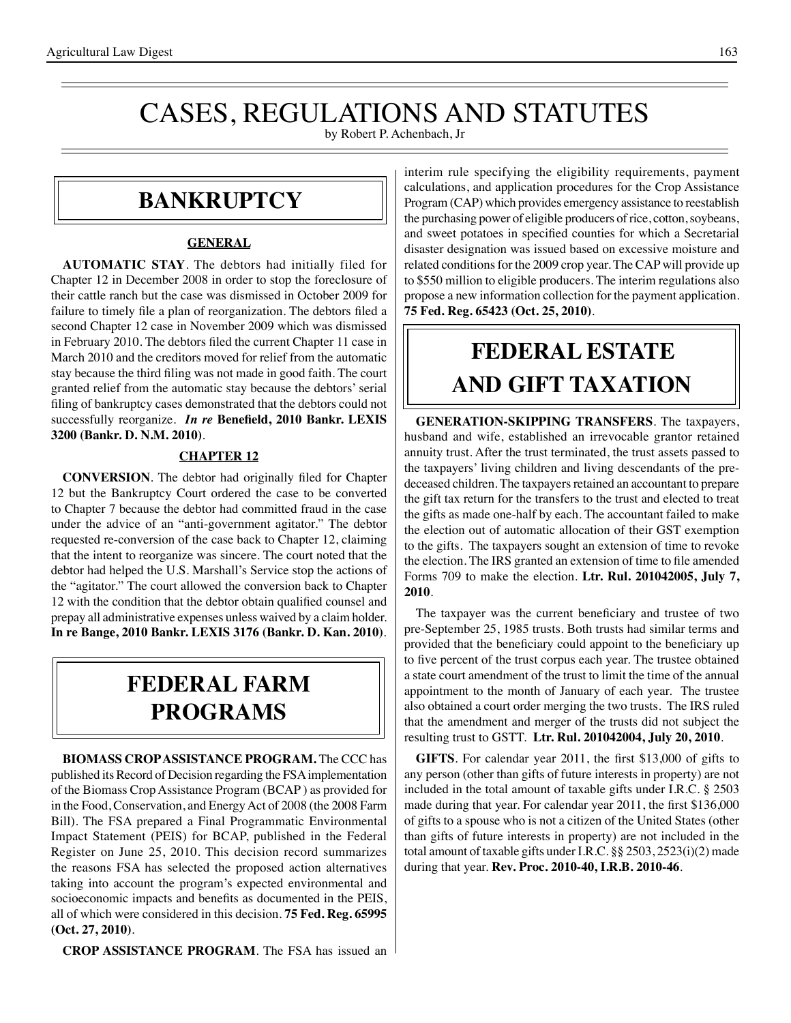# CASES, REGULATIONS AND STATUTES

by Robert P. Achenbach, Jr

### **bankruptcy**

### **GENERAL**

**AUTOMATIC STAY**. The debtors had initially filed for Chapter 12 in December 2008 in order to stop the foreclosure of their cattle ranch but the case was dismissed in October 2009 for failure to timely file a plan of reorganization. The debtors filed a second Chapter 12 case in November 2009 which was dismissed in February 2010. The debtors filed the current Chapter 11 case in March 2010 and the creditors moved for relief from the automatic stay because the third filing was not made in good faith. The court granted relief from the automatic stay because the debtors' serial filing of bankruptcy cases demonstrated that the debtors could not successfully reorganize. *In re* **Benefield, 2010 Bankr. LEXIS 3200 (Bankr. D. N.M. 2010)**.

### **CHAPTER 12**

**CONVERSION**. The debtor had originally filed for Chapter 12 but the Bankruptcy Court ordered the case to be converted to Chapter 7 because the debtor had committed fraud in the case under the advice of an "anti-government agitator." The debtor requested re-conversion of the case back to Chapter 12, claiming that the intent to reorganize was sincere. The court noted that the debtor had helped the U.S. Marshall's Service stop the actions of the "agitator." The court allowed the conversion back to Chapter 12 with the condition that the debtor obtain qualified counsel and prepay all administrative expenses unless waived by a claim holder. **In re Bange, 2010 Bankr. LEXIS 3176 (Bankr. D. Kan. 2010)**.

## **federal FARM PROGRAMS**

**BIOMASS CROP ASSISTANCE PROGRAM.** The CCC has published its Record of Decision regarding the FSA implementation of the Biomass Crop Assistance Program (BCAP ) as provided for in the Food, Conservation, and Energy Act of 2008 (the 2008 Farm Bill). The FSA prepared a Final Programmatic Environmental Impact Statement (PEIS) for BCAP, published in the Federal Register on June 25, 2010. This decision record summarizes the reasons FSA has selected the proposed action alternatives taking into account the program's expected environmental and socioeconomic impacts and benefits as documented in the PEIS, all of which were considered in this decision. **75 Fed. Reg. 65995 (Oct. 27, 2010)**.

**CROP ASSISTANCE PROGRAM**. The FSA has issued an

interim rule specifying the eligibility requirements, payment calculations, and application procedures for the Crop Assistance Program (CAP) which provides emergency assistance to reestablish the purchasing power of eligible producers of rice, cotton, soybeans, and sweet potatoes in specified counties for which a Secretarial disaster designation was issued based on excessive moisture and related conditions for the 2009 crop year. The CAP will provide up to \$550 million to eligible producers. The interim regulations also propose a new information collection for the payment application. **75 Fed. Reg. 65423 (Oct. 25, 2010)**.

# **FEDERAL ESTATE AND GIFT taxation**

**GENERATION-SKIPPING TRANSFERS**. The taxpayers, husband and wife, established an irrevocable grantor retained annuity trust. After the trust terminated, the trust assets passed to the taxpayers' living children and living descendants of the predeceased children. The taxpayers retained an accountant to prepare the gift tax return for the transfers to the trust and elected to treat the gifts as made one-half by each. The accountant failed to make the election out of automatic allocation of their GST exemption to the gifts. The taxpayers sought an extension of time to revoke the election. The IRS granted an extension of time to file amended Forms 709 to make the election. **Ltr. Rul. 201042005, July 7, 2010**.

 The taxpayer was the current beneficiary and trustee of two pre-September 25, 1985 trusts. Both trusts had similar terms and provided that the beneficiary could appoint to the beneficiary up to five percent of the trust corpus each year. The trustee obtained a state court amendment of the trust to limit the time of the annual appointment to the month of January of each year. The trustee also obtained a court order merging the two trusts. The IRS ruled that the amendment and merger of the trusts did not subject the resulting trust to GSTT. **Ltr. Rul. 201042004, July 20, 2010**.

**GIFTS**. For calendar year 2011, the first \$13,000 of gifts to any person (other than gifts of future interests in property) are not included in the total amount of taxable gifts under I.R.C. § 2503 made during that year. For calendar year 2011, the first \$136,000 of gifts to a spouse who is not a citizen of the United States (other than gifts of future interests in property) are not included in the total amount of taxable gifts under I.R.C. §§ 2503, 2523(i)(2) made during that year. **Rev. Proc. 2010-40, I.R.B. 2010-46**.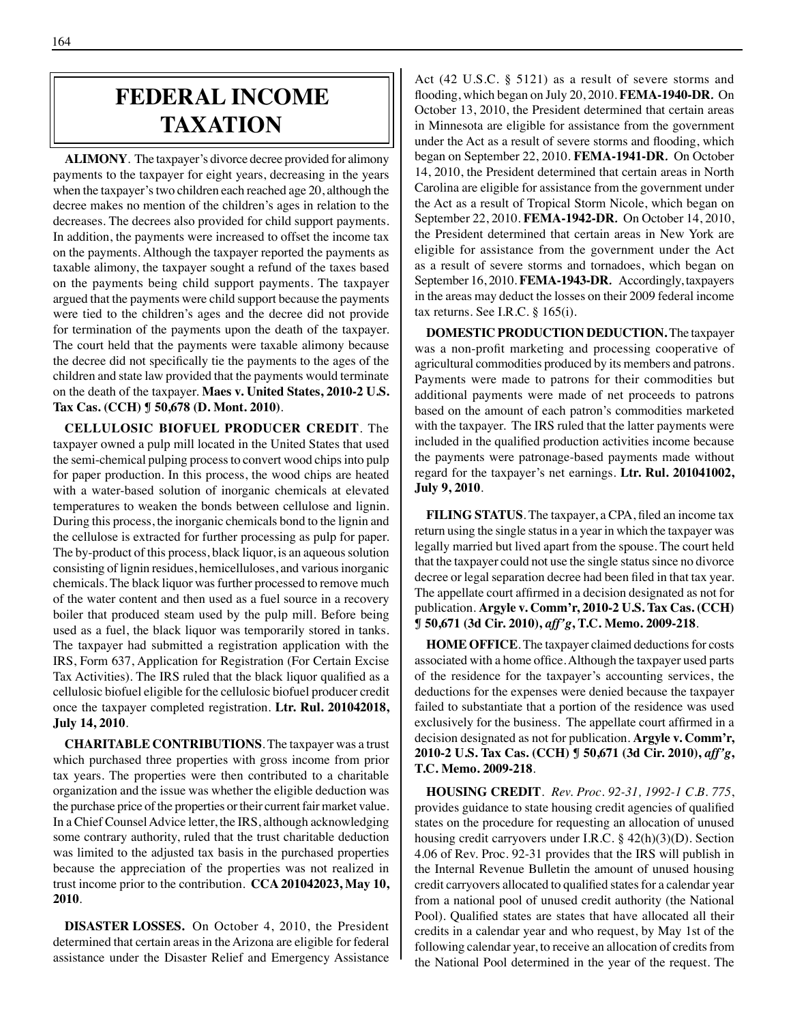## **federal income taxation**

**ALIMONY**. The taxpayer's divorce decree provided for alimony payments to the taxpayer for eight years, decreasing in the years when the taxpayer's two children each reached age 20, although the decree makes no mention of the children's ages in relation to the decreases. The decrees also provided for child support payments. In addition, the payments were increased to offset the income tax on the payments. Although the taxpayer reported the payments as taxable alimony, the taxpayer sought a refund of the taxes based on the payments being child support payments. The taxpayer argued that the payments were child support because the payments were tied to the children's ages and the decree did not provide for termination of the payments upon the death of the taxpayer. The court held that the payments were taxable alimony because the decree did not specifically tie the payments to the ages of the children and state law provided that the payments would terminate on the death of the taxpayer. **Maes v. United States, 2010-2 U.S. Tax Cas. (CCH) ¶ 50,678 (D. Mont. 2010)**.

**CELLULOSIC BIOFUEL PRODUCER CREDIT**. The taxpayer owned a pulp mill located in the United States that used the semi-chemical pulping process to convert wood chips into pulp for paper production. In this process, the wood chips are heated with a water-based solution of inorganic chemicals at elevated temperatures to weaken the bonds between cellulose and lignin. During this process, the inorganic chemicals bond to the lignin and the cellulose is extracted for further processing as pulp for paper. The by-product of this process, black liquor, is an aqueous solution consisting of lignin residues, hemicelluloses, and various inorganic chemicals. The black liquor was further processed to remove much of the water content and then used as a fuel source in a recovery boiler that produced steam used by the pulp mill. Before being used as a fuel, the black liquor was temporarily stored in tanks. The taxpayer had submitted a registration application with the IRS, Form 637, Application for Registration (For Certain Excise Tax Activities). The IRS ruled that the black liquor qualified as a cellulosic biofuel eligible for the cellulosic biofuel producer credit once the taxpayer completed registration. **Ltr. Rul. 201042018, July 14, 2010**.

**CHARITABLE CONTRIBUTIONS**. The taxpayer was a trust which purchased three properties with gross income from prior tax years. The properties were then contributed to a charitable organization and the issue was whether the eligible deduction was the purchase price of the properties or their current fair market value. In a Chief Counsel Advice letter, the IRS, although acknowledging some contrary authority, ruled that the trust charitable deduction was limited to the adjusted tax basis in the purchased properties because the appreciation of the properties was not realized in trust income prior to the contribution. **CCA 201042023, May 10, 2010**.

**DISASTER LOSSES.** On October 4, 2010, the President determined that certain areas in the Arizona are eligible for federal assistance under the Disaster Relief and Emergency Assistance Act (42 U.S.C. § 5121) as a result of severe storms and flooding, which began on July 20, 2010. **FEMA-1940-DR***.* On October 13, 2010, the President determined that certain areas in Minnesota are eligible for assistance from the government under the Act as a result of severe storms and flooding, which began on September 22, 2010. **FEMA-1941-DR***.* On October 14, 2010, the President determined that certain areas in North Carolina are eligible for assistance from the government under the Act as a result of Tropical Storm Nicole, which began on September 22, 2010. **FEMA-1942-DR***.* On October 14, 2010, the President determined that certain areas in New York are eligible for assistance from the government under the Act as a result of severe storms and tornadoes, which began on September 16, 2010. **FEMA-1943-DR***.* Accordingly, taxpayers in the areas may deduct the losses on their 2009 federal income tax returns. See I.R.C. § 165(i).

**DOMESTIC PRODUCTION DEDUCTION.** The taxpayer was a non-profit marketing and processing cooperative of agricultural commodities produced by its members and patrons. Payments were made to patrons for their commodities but additional payments were made of net proceeds to patrons based on the amount of each patron's commodities marketed with the taxpayer. The IRS ruled that the latter payments were included in the qualified production activities income because the payments were patronage-based payments made without regard for the taxpayer's net earnings. **Ltr. Rul. 201041002, July 9, 2010**.

**FILING STATUS**. The taxpayer, a CPA, filed an income tax return using the single status in a year in which the taxpayer was legally married but lived apart from the spouse. The court held that the taxpayer could not use the single status since no divorce decree or legal separation decree had been filed in that tax year. The appellate court affirmed in a decision designated as not for publication. **Argyle v. Comm'r, 2010-2 U.S. Tax Cas. (CCH) ¶ 50,671 (3d Cir. 2010),** *aff'g***, T.C. Memo. 2009-218**.

**HOME OFFICE**. The taxpayer claimed deductions for costs associated with a home office.Although the taxpayer used parts of the residence for the taxpayer's accounting services, the deductions for the expenses were denied because the taxpayer failed to substantiate that a portion of the residence was used exclusively for the business. The appellate court affirmed in a decision designated as not for publication. **Argyle v. Comm'r, 2010-2 U.S. Tax Cas. (CCH) ¶ 50,671 (3d Cir. 2010),** *aff'g***, T.C. Memo. 2009-218**.

**HOUSING CREDIT**. *Rev. Proc. 92-31, 1992-1 C.B. 775*, provides guidance to state housing credit agencies of qualified states on the procedure for requesting an allocation of unused housing credit carryovers under I.R.C. § 42(h)(3)(D). Section 4.06 of Rev. Proc. 92-31 provides that the IRS will publish in the Internal Revenue Bulletin the amount of unused housing credit carryovers allocated to qualified states for a calendar year from a national pool of unused credit authority (the National Pool). Qualified states are states that have allocated all their credits in a calendar year and who request, by May 1st of the following calendar year, to receive an allocation of credits from the National Pool determined in the year of the request. The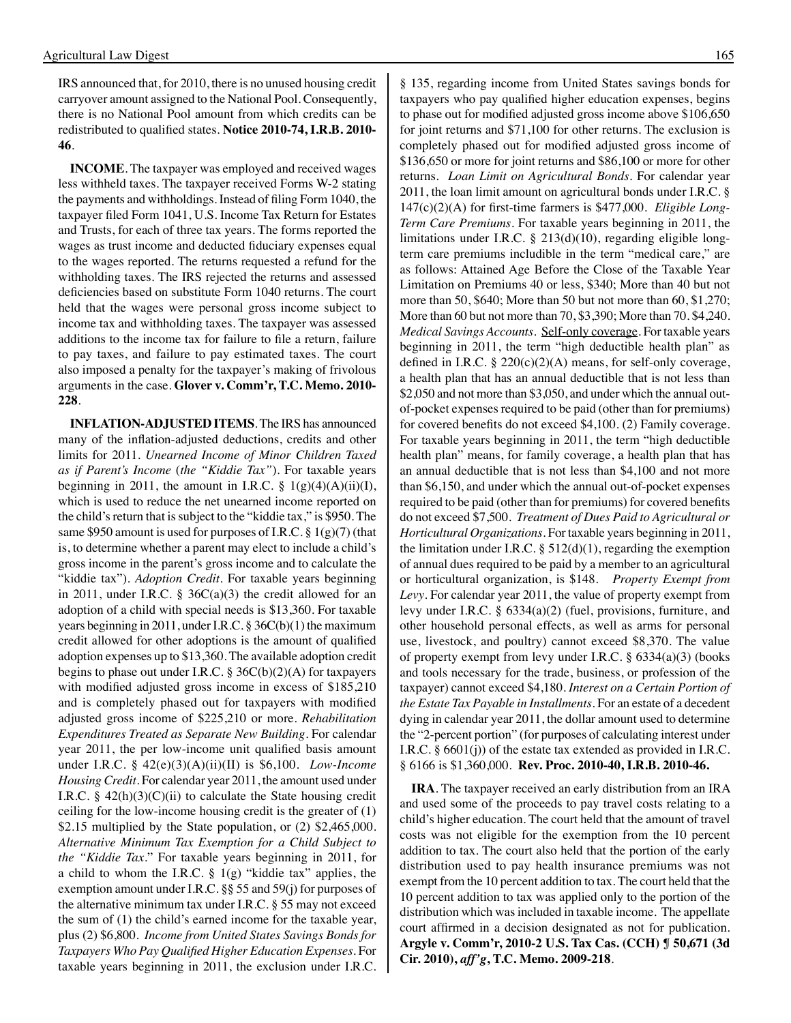IRS announced that, for 2010, there is no unused housing credit carryover amount assigned to the National Pool. Consequently, there is no National Pool amount from which credits can be redistributed to qualified states. **Notice 2010-74, I.R.B. 2010- 46**.

**INCOME**. The taxpayer was employed and received wages less withheld taxes. The taxpayer received Forms W-2 stating the payments and withholdings. Instead of filing Form 1040, the taxpayer filed Form 1041, U.S. Income Tax Return for Estates and Trusts, for each of three tax years. The forms reported the wages as trust income and deducted fiduciary expenses equal to the wages reported. The returns requested a refund for the withholding taxes. The IRS rejected the returns and assessed deficiencies based on substitute Form 1040 returns. The court held that the wages were personal gross income subject to income tax and withholding taxes. The taxpayer was assessed additions to the income tax for failure to file a return, failure to pay taxes, and failure to pay estimated taxes. The court also imposed a penalty for the taxpayer's making of frivolous arguments in the case. **Glover v. Comm'r, T.C. Memo. 2010- 228**.

**INFLATION-ADJUSTED ITEMS**. The IRS has announced many of the inflation-adjusted deductions, credits and other limits for 2011. *Unearned Income of Minor Children Taxed as if Parent's Income* (*the "Kiddie Tax"*). For taxable years beginning in 2011, the amount in I.R.C.  $\S$  1(g)(4)(A)(ii)(I), which is used to reduce the net unearned income reported on the child's return that is subject to the "kiddie tax," is \$950. The same \$950 amount is used for purposes of I.R.C. § 1(g)(7) (that is, to determine whether a parent may elect to include a child's gross income in the parent's gross income and to calculate the "kiddie tax"). *Adoption Credit*. For taxable years beginning in 2011, under I.R.C.  $\S$  36C(a)(3) the credit allowed for an adoption of a child with special needs is \$13,360. For taxable years beginning in 2011, under I.R.C. § 36C(b)(1) the maximum credit allowed for other adoptions is the amount of qualified adoption expenses up to \$13,360. The available adoption credit begins to phase out under I.R.C.  $\S 36C(b)(2)(A)$  for taxpayers with modified adjusted gross income in excess of \$185,210 and is completely phased out for taxpayers with modified adjusted gross income of \$225,210 or more. *Rehabilitation Expenditures Treated as Separate New Building*. For calendar year 2011, the per low-income unit qualified basis amount under I.R.C. § 42(e)(3)(A)(ii)(II) is \$6,100. *Low-Income Housing Credit*. For calendar year 2011, the amount used under I.R.C.  $\S$  42(h)(3)(C)(ii) to calculate the State housing credit ceiling for the low-income housing credit is the greater of (1) \$2.15 multiplied by the State population, or (2) \$2,465,000. *Alternative Minimum Tax Exemption for a Child Subject to the "Kiddie Tax*." For taxable years beginning in 2011, for a child to whom the I.R.C.  $\S$  1(g) "kiddie tax" applies, the exemption amount under I.R.C. §§ 55 and 59(j) for purposes of the alternative minimum tax under I.R.C. § 55 may not exceed the sum of (1) the child's earned income for the taxable year, plus (2) \$6,800. *Income from United States Savings Bonds for Taxpayers Who Pay Qualified Higher Education Expenses*. For taxable years beginning in 2011, the exclusion under I.R.C.

§ 135, regarding income from United States savings bonds for taxpayers who pay qualified higher education expenses, begins to phase out for modified adjusted gross income above \$106,650 for joint returns and \$71,100 for other returns. The exclusion is completely phased out for modified adjusted gross income of \$136,650 or more for joint returns and \$86,100 or more for other returns. *Loan Limit on Agricultural Bonds*. For calendar year 2011, the loan limit amount on agricultural bonds under I.R.C. § 147(c)(2)(A) for first-time farmers is \$477,000. *Eligible Long-Term Care Premiums*. For taxable years beginning in 2011, the limitations under I.R.C. § 213(d)(10), regarding eligible longterm care premiums includible in the term "medical care," are as follows: Attained Age Before the Close of the Taxable Year Limitation on Premiums 40 or less, \$340; More than 40 but not more than 50, \$640; More than 50 but not more than 60, \$1,270; More than 60 but not more than 70, \$3,390; More than 70. \$4,240. *Medical Savings Accounts*. Self-only coverage. For taxable years beginning in 2011, the term "high deductible health plan" as defined in I.R.C. § 220(c)(2)(A) means, for self-only coverage, a health plan that has an annual deductible that is not less than \$2,050 and not more than \$3,050, and under which the annual outof-pocket expenses required to be paid (other than for premiums) for covered benefits do not exceed \$4,100. (2) Family coverage. For taxable years beginning in 2011, the term "high deductible health plan" means, for family coverage, a health plan that has an annual deductible that is not less than \$4,100 and not more than \$6,150, and under which the annual out-of-pocket expenses required to be paid (other than for premiums) for covered benefits do not exceed \$7,500. *Treatment of Dues Paid to Agricultural or Horticultural Organizations*. For taxable years beginning in 2011, the limitation under I.R.C.  $\S$  512(d)(1), regarding the exemption of annual dues required to be paid by a member to an agricultural or horticultural organization, is \$148. *Property Exempt from Levy*. For calendar year 2011, the value of property exempt from levy under I.R.C. § 6334(a)(2) (fuel, provisions, furniture, and other household personal effects, as well as arms for personal use, livestock, and poultry) cannot exceed \$8,370. The value of property exempt from levy under I.R.C. § 6334(a)(3) (books and tools necessary for the trade, business, or profession of the taxpayer) cannot exceed \$4,180. *Interest on a Certain Portion of the Estate Tax Payable in Installments*. For an estate of a decedent dying in calendar year 2011, the dollar amount used to determine the "2-percent portion" (for purposes of calculating interest under I.R.C. § 6601(j)) of the estate tax extended as provided in I.R.C. § 6166 is \$1,360,000. **Rev. Proc. 2010-40, I.R.B. 2010-46.**

**IRA**. The taxpayer received an early distribution from an IRA and used some of the proceeds to pay travel costs relating to a child's higher education. The court held that the amount of travel costs was not eligible for the exemption from the 10 percent addition to tax. The court also held that the portion of the early distribution used to pay health insurance premiums was not exempt from the 10 percent addition to tax. The court held that the 10 percent addition to tax was applied only to the portion of the distribution which was included in taxable income. The appellate court affirmed in a decision designated as not for publication. **Argyle v. Comm'r, 2010-2 U.S. Tax Cas. (CCH) ¶ 50,671 (3d Cir. 2010),** *aff'g***, T.C. Memo. 2009-218**.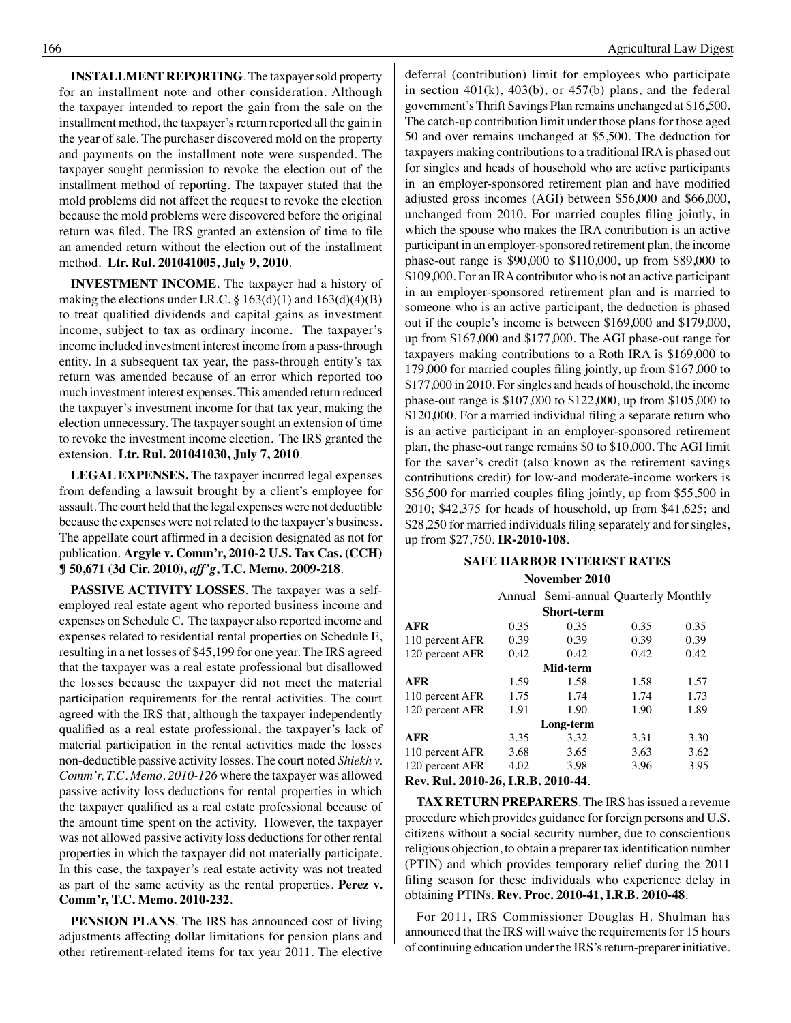**INSTALLMENT REPORTING**. The taxpayer sold property for an installment note and other consideration. Although the taxpayer intended to report the gain from the sale on the installment method, the taxpayer's return reported all the gain in the year of sale. The purchaser discovered mold on the property and payments on the installment note were suspended. The taxpayer sought permission to revoke the election out of the installment method of reporting. The taxpayer stated that the mold problems did not affect the request to revoke the election because the mold problems were discovered before the original return was filed. The IRS granted an extension of time to file an amended return without the election out of the installment method. **Ltr. Rul. 201041005, July 9, 2010**.

**INVESTMENT INCOME**. The taxpayer had a history of making the elections under I.R.C.  $\S 163(d)(1)$  and  $163(d)(4)(B)$ to treat qualified dividends and capital gains as investment income, subject to tax as ordinary income. The taxpayer's income included investment interest income from a pass-through entity. In a subsequent tax year, the pass-through entity's tax return was amended because of an error which reported too much investment interest expenses. This amended return reduced the taxpayer's investment income for that tax year, making the election unnecessary. The taxpayer sought an extension of time to revoke the investment income election. The IRS granted the extension. **Ltr. Rul. 201041030, July 7, 2010**.

**LEGAL EXPENSES.** The taxpayer incurred legal expenses from defending a lawsuit brought by a client's employee for assault. The court held that the legal expenses were not deductible because the expenses were not related to the taxpayer's business. The appellate court affirmed in a decision designated as not for publication. **Argyle v. Comm'r, 2010-2 U.S. Tax Cas. (CCH) ¶ 50,671 (3d Cir. 2010),** *aff'g***, T.C. Memo. 2009-218**.

**PASSIVE ACTIVITY LOSSES**. The taxpayer was a selfemployed real estate agent who reported business income and expenses on Schedule C. The taxpayer also reported income and expenses related to residential rental properties on Schedule E, resulting in a net losses of \$45,199 for one year. The IRS agreed that the taxpayer was a real estate professional but disallowed the losses because the taxpayer did not meet the material participation requirements for the rental activities. The court agreed with the IRS that, although the taxpayer independently qualified as a real estate professional, the taxpayer's lack of material participation in the rental activities made the losses non-deductible passive activity losses. The court noted *Shiekh v. Comm'r, T.C. Memo. 2010-126* where the taxpayer was allowed passive activity loss deductions for rental properties in which the taxpayer qualified as a real estate professional because of the amount time spent on the activity. However, the taxpayer was not allowed passive activity loss deductions for other rental properties in which the taxpayer did not materially participate. In this case, the taxpayer's real estate activity was not treated as part of the same activity as the rental properties. **Perez v. Comm'r, T.C. Memo. 2010-232**.

**PENSION PLANS**. The IRS has announced cost of living adjustments affecting dollar limitations for pension plans and other retirement-related items for tax year 2011. The elective

deferral (contribution) limit for employees who participate in section  $401(k)$ ,  $403(b)$ , or  $457(b)$  plans, and the federal government's Thrift Savings Plan remains unchanged at \$16,500. The catch-up contribution limit under those plans for those aged 50 and over remains unchanged at \$5,500. The deduction for taxpayers making contributions to a traditional IRA is phased out for singles and heads of household who are active participants in an employer-sponsored retirement plan and have modified adjusted gross incomes (AGI) between \$56,000 and \$66,000, unchanged from 2010. For married couples filing jointly, in which the spouse who makes the IRA contribution is an active participant in an employer-sponsored retirement plan, the income phase-out range is \$90,000 to \$110,000, up from \$89,000 to \$109,000. For an IRA contributor who is not an active participant in an employer-sponsored retirement plan and is married to someone who is an active participant, the deduction is phased out if the couple's income is between \$169,000 and \$179,000, up from \$167,000 and \$177,000. The AGI phase-out range for taxpayers making contributions to a Roth IRA is \$169,000 to 179,000 for married couples filing jointly, up from \$167,000 to \$177,000 in 2010. For singles and heads of household, the income phase-out range is \$107,000 to \$122,000, up from \$105,000 to \$120,000. For a married individual filing a separate return who is an active participant in an employer-sponsored retirement plan, the phase-out range remains \$0 to \$10,000. The AGI limit for the saver's credit (also known as the retirement savings contributions credit) for low-and moderate-income workers is \$56,500 for married couples filing jointly, up from \$55,500 in 2010; \$42,375 for heads of household, up from \$41,625; and \$28,250 for married individuals filing separately and for singles, up from \$27,750. **IR-2010-108**.

#### **Safe Harbor interest rates**

#### **November 2010**

|                                    |      | Annual Semi-annual Quarterly Monthly |      |      |
|------------------------------------|------|--------------------------------------|------|------|
|                                    |      | <b>Short-term</b>                    |      |      |
| AFR                                | 0.35 | 0.35                                 | 0.35 | 0.35 |
| 110 percent AFR                    | 0.39 | 0.39                                 | 0.39 | 0.39 |
| 120 percent AFR                    | 0.42 | 0.42                                 | 0.42 | 0.42 |
|                                    |      | Mid-term                             |      |      |
| AFR                                | 1.59 | 1.58                                 | 1.58 | 1.57 |
| 110 percent AFR                    | 1.75 | 1.74                                 | 1.74 | 1.73 |
| 120 percent AFR                    | 1.91 | 1.90                                 | 1.90 | 1.89 |
|                                    |      | Long-term                            |      |      |
| AFR                                | 3.35 | 3.32                                 | 3.31 | 3.30 |
| 110 percent AFR                    | 3.68 | 3.65                                 | 3.63 | 3.62 |
| 120 percent AFR                    | 4.02 | 3.98                                 | 3.96 | 3.95 |
| Rev. Rul. 2010-26, I.R.B. 2010-44. |      |                                      |      |      |

**TAX RETURN PREPARERS**. The IRS has issued a revenue procedure which provides guidance for foreign persons and U.S. citizens without a social security number, due to conscientious religious objection, to obtain a preparer tax identification number (PTIN) and which provides temporary relief during the 2011 filing season for these individuals who experience delay in obtaining PTINs. **Rev. Proc. 2010-41, I.R.B. 2010-48**.

For 2011, IRS Commissioner Douglas H. Shulman has announced that the IRS will waive the requirements for 15 hours of continuing education under the IRS'sreturn-preparer initiative.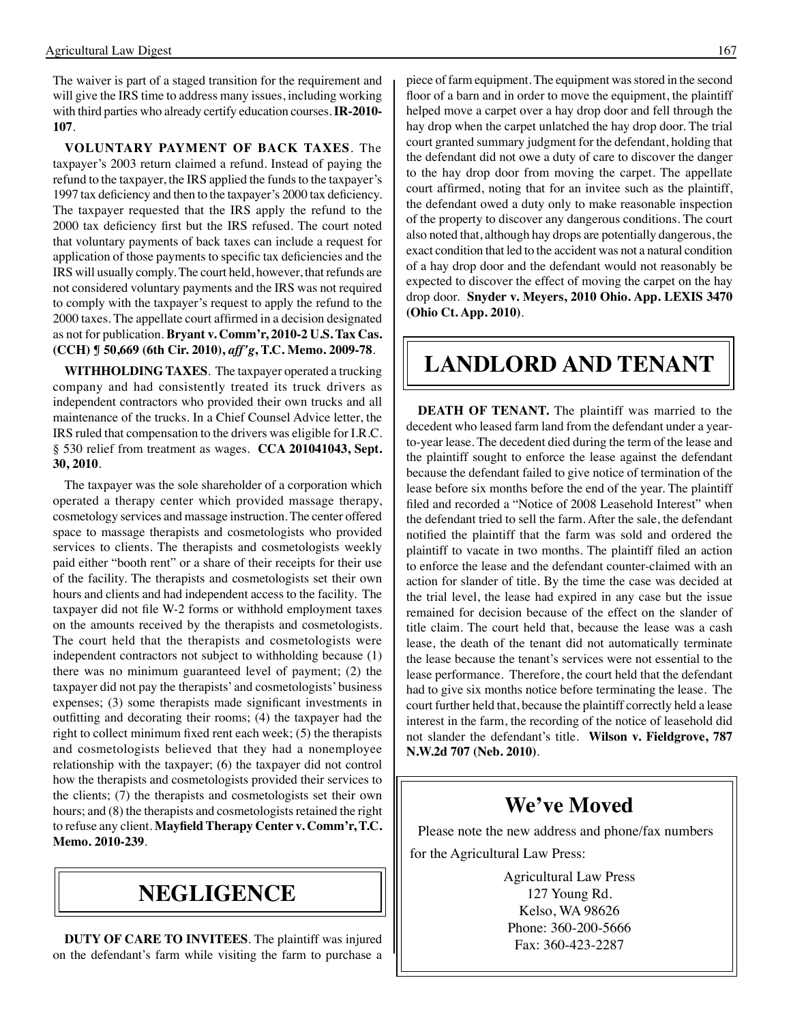The waiver is part of a staged transition for the requirement and will give the IRS time to address many issues, including working with third parties who already certify education courses. **IR-2010- 107**.

**VOLUNTARY PAYMENT OF BACK TAXES**. The taxpayer's 2003 return claimed a refund. Instead of paying the refund to the taxpayer, the IRS applied the funds to the taxpayer's 1997 tax deficiency and then to the taxpayer's 2000 tax deficiency. The taxpayer requested that the IRS apply the refund to the 2000 tax deficiency first but the IRS refused. The court noted that voluntary payments of back taxes can include a request for application of those payments to specific tax deficiencies and the IRS will usually comply. The court held, however, that refunds are not considered voluntary payments and the IRS was not required to comply with the taxpayer's request to apply the refund to the 2000 taxes. The appellate court affirmed in a decision designated as not for publication. **Bryant v. Comm'r, 2010-2 U.S. Tax Cas. (CCH) ¶ 50,669 (6th Cir. 2010),** *aff'g***, T.C. Memo. 2009-78**.

**WITHHOLDING TAXES**. The taxpayer operated a trucking company and had consistently treated its truck drivers as independent contractors who provided their own trucks and all maintenance of the trucks. In a Chief Counsel Advice letter, the IRS ruled that compensation to the drivers was eligible for I.R.C. § 530 relief from treatment as wages. **CCA 201041043, Sept. 30, 2010**.

The taxpayer was the sole shareholder of a corporation which operated a therapy center which provided massage therapy, cosmetology services and massage instruction. The center offered space to massage therapists and cosmetologists who provided services to clients. The therapists and cosmetologists weekly paid either "booth rent" or a share of their receipts for their use of the facility. The therapists and cosmetologists set their own hours and clients and had independent access to the facility. The taxpayer did not file W-2 forms or withhold employment taxes on the amounts received by the therapists and cosmetologists. The court held that the therapists and cosmetologists were independent contractors not subject to withholding because (1) there was no minimum guaranteed level of payment; (2) the taxpayer did not pay the therapists' and cosmetologists' business expenses; (3) some therapists made significant investments in outfitting and decorating their rooms; (4) the taxpayer had the right to collect minimum fixed rent each week; (5) the therapists and cosmetologists believed that they had a nonemployee relationship with the taxpayer; (6) the taxpayer did not control how the therapists and cosmetologists provided their services to the clients; (7) the therapists and cosmetologists set their own hours; and (8) the therapists and cosmetologists retained the right to refuse any client. **Mayfield Therapy Center v. Comm'r, T.C. Memo. 2010-239**.

### **negligence**

**DUTY OF CARE TO INVITEES**. The plaintiff was injured on the defendant's farm while visiting the farm to purchase a floor of a barn and in order to move the equipment, the plaintiff helped move a carpet over a hay drop door and fell through the hay drop when the carpet unlatched the hay drop door. The trial court granted summary judgment for the defendant, holding that the defendant did not owe a duty of care to discover the danger to the hay drop door from moving the carpet. The appellate court affirmed, noting that for an invitee such as the plaintiff, the defendant owed a duty only to make reasonable inspection of the property to discover any dangerous conditions. The court also noted that, although hay drops are potentially dangerous, the exact condition that led to the accident was not a natural condition of a hay drop door and the defendant would not reasonably be expected to discover the effect of moving the carpet on the hay drop door. **Snyder v. Meyers, 2010 Ohio. App. LEXIS 3470 (Ohio Ct. App. 2010)**.

## **landlord and tenant**

**DEATH OF TENANT.** The plaintiff was married to the decedent who leased farm land from the defendant under a yearto-year lease. The decedent died during the term of the lease and the plaintiff sought to enforce the lease against the defendant because the defendant failed to give notice of termination of the lease before six months before the end of the year. The plaintiff filed and recorded a "Notice of 2008 Leasehold Interest" when the defendant tried to sell the farm. After the sale, the defendant notified the plaintiff that the farm was sold and ordered the plaintiff to vacate in two months. The plaintiff filed an action to enforce the lease and the defendant counter-claimed with an action for slander of title. By the time the case was decided at the trial level, the lease had expired in any case but the issue remained for decision because of the effect on the slander of title claim. The court held that, because the lease was a cash lease, the death of the tenant did not automatically terminate the lease because the tenant's services were not essential to the lease performance. Therefore, the court held that the defendant had to give six months notice before terminating the lease. The court further held that, because the plaintiff correctly held a lease interest in the farm, the recording of the notice of leasehold did not slander the defendant's title. **Wilson v. Fieldgrove, 787 N.W.2d 707 (Neb. 2010)**.

### **We've Moved**

Please note the new address and phone/fax numbers for the Agricultural Law Press:

> Agricultural Law Press 127 Young Rd. Kelso, WA 98626 Phone: 360-200-5666 Fax: 360-423-2287